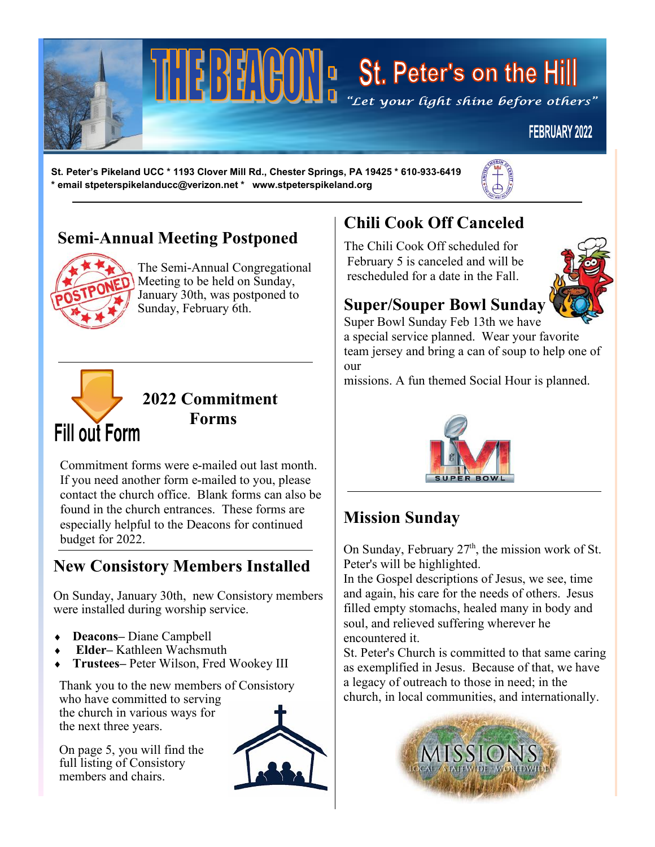

# $\left[\begin{array}{c} \begin{bmatrix} 1 & 1 \\ 1 & 1 \end{bmatrix} \end{array}\right]$   $\left[\begin{array}{c} \begin{bmatrix} 1 & 1 \\ 1 & 1 \end{bmatrix} \end{array}\right]$   $\left[\begin{array}{c} \begin{bmatrix} 1 & 1 \\ 1 & 1 \end{bmatrix} \end{array}\right]$   $\left[\begin{array}{c} \begin{bmatrix} 1 & 1 \\ 1 & 1 \end{bmatrix} \end{array}\right]$   $\left[\begin{array}{c} \begin{bmatrix} 1 & 1 \\ 1 & 1 \end{bmatrix} \end{array}\right]$   $\left[\begin{array}{c} \$

### **FEBRUARY 2022**

**St. Peter's Pikeland UCC \* 1193 Clover Mill Rd., Chester Springs, PA 19425 \* 610-933-6419 \* email stpeterspikelanducc@verizon.net \* www.stpeterspikeland.org**



### **Semi-Annual Meeting Postponed**



The Semi-Annual Congregational Meeting to be held on Sunday, January 30th, was postponed to Sunday, February 6th.



# **2022 Commitment Forms**

Commitment forms were e-mailed out last month. If you need another form e-mailed to you, please contact the church office. Blank forms can also be found in the church entrances. These forms are especially helpful to the Deacons for continued budget for 2022.

### **New Consistory Members Installed**

On Sunday, January 30th, new Consistory members were installed during worship service.

- **Deacons–** Diane Campbell
- **Elder–** Kathleen Wachsmuth
- **Trustees–** Peter Wilson, Fred Wookey III

Thank you to the new members of Consistory who have committed to serving the church in various ways for the next three years.



On page 5, you will find the full listing of Consistory members and chairs.

## **Chili Cook Off Canceled**

The Chili Cook Off scheduled for February 5 is canceled and will be rescheduled for a date in the Fall.



### **Super/Souper Bowl Sunday**

Super Bowl Sunday Feb 13th we have

a special service planned. Wear your favorite team jersey and bring a can of soup to help one of our

missions. A fun themed Social Hour is planned.



### **Mission Sunday**

On Sunday, February  $27<sup>th</sup>$ , the mission work of St. Peter's will be highlighted.

In the Gospel descriptions of Jesus, we see, time and again, his care for the needs of others. Jesus filled empty stomachs, healed many in body and soul, and relieved suffering wherever he encountered it.

St. Peter's Church is committed to that same caring as exemplified in Jesus. Because of that, we have a legacy of outreach to those in need; in the church, in local communities, and internationally.

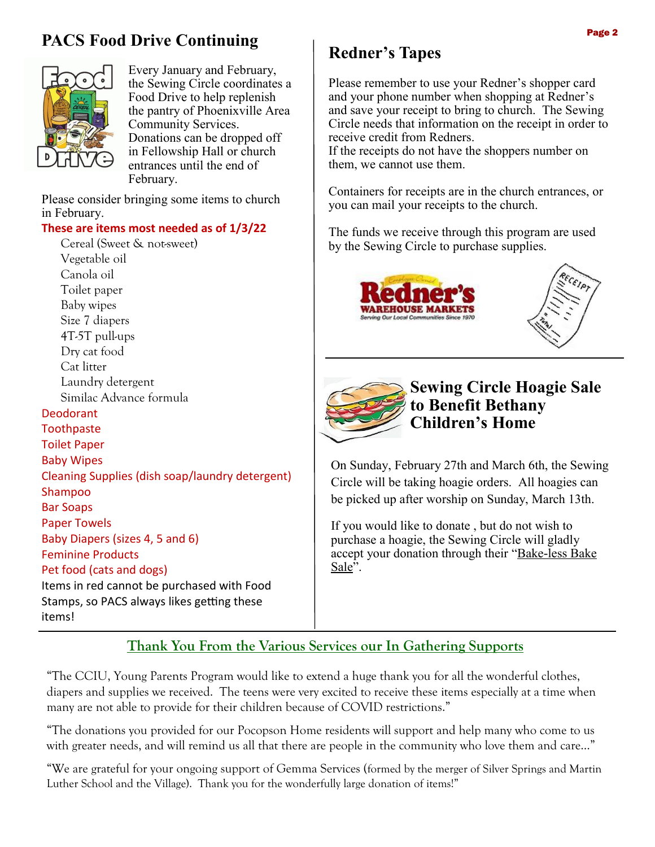### **PACS Food Drive Continuing**



Every January and February, the Sewing Circle coordinates a Food Drive to help replenish the pantry of Phoenixville Area Community Services. Donations can be dropped off in Fellowship Hall or church entrances until the end of February.

Please consider bringing some items to church in February.

### **These are items most needed as of 1/3/22**

Cereal (Sweet & not-sweet) Vegetable oil Canola oil Toilet paper Baby wipes Size 7 diapers 4T-5T pull-ups Dry cat food Cat litter Laundry detergent Similac Advance formula Deodorant **Toothpaste** Toilet Paper Baby Wipes Cleaning Supplies (dish soap/laundry detergent) Shampoo Bar Soaps Paper Towels Baby Diapers (sizes 4, 5 and 6) Feminine Products Pet food (cats and dogs) Items in red cannot be purchased with Food Stamps, so PACS always likes getting these items!

### **Redner's Tapes**

Please remember to use your Redner's shopper card and your phone number when shopping at Redner's and save your receipt to bring to church. The Sewing Circle needs that information on the receipt in order to receive credit from Redners.

If the receipts do not have the shoppers number on them, we cannot use them.

Containers for receipts are in the church entrances, or you can mail your receipts to the church.

The funds we receive through this program are used by the Sewing Circle to purchase supplies.







### **Sewing Circle Hoagie Sale to Benefit Bethany Children's Home**

On Sunday, February 27th and March 6th, the Sewing Circle will be taking hoagie orders. All hoagies can be picked up after worship on Sunday, March 13th.

If you would like to donate , but do not wish to purchase a hoagie, the Sewing Circle will gladly accept your donation through their "Bake-less Bake Sale".

### **Thank You From the Various Services our In Gathering Supports**

"The CCIU, Young Parents Program would like to extend a huge thank you for all the wonderful clothes, diapers and supplies we received. The teens were very excited to receive these items especially at a time when many are not able to provide for their children because of COVID restrictions."

"The donations you provided for our Pocopson Home residents will support and help many who come to us with greater needs, and will remind us all that there are people in the community who love them and care..."

"We are grateful for your ongoing support of Gemma Services (formed by the merger of Silver Springs and Martin Luther School and the Village). Thank you for the wonderfully large donation of items!"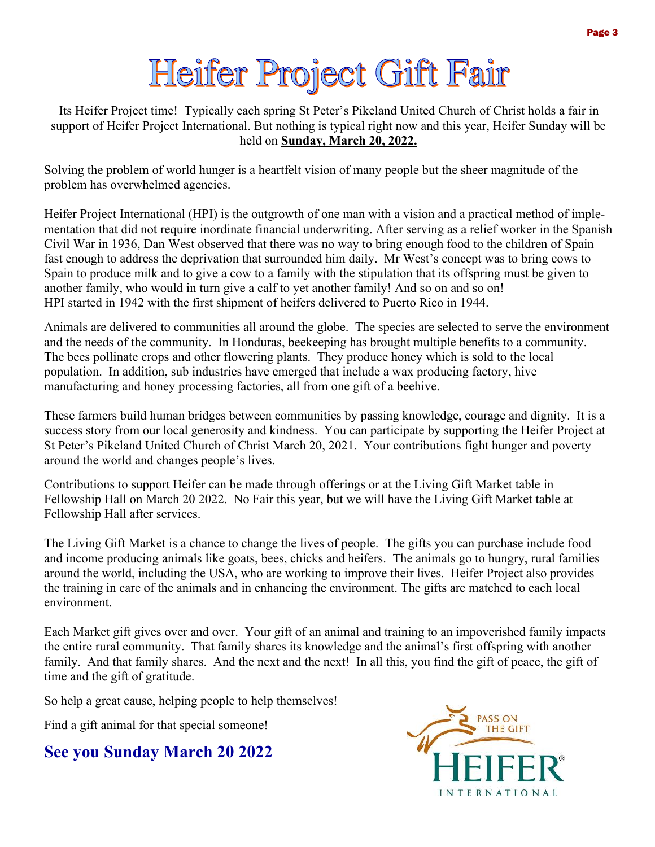# Heifer Project Gift Fair

Its Heifer Project time! Typically each spring St Peter's Pikeland United Church of Christ holds a fair in support of Heifer Project International. But nothing is typical right now and this year, Heifer Sunday will be held on **Sunday, March 20, 2022.**

Solving the problem of world hunger is a heartfelt vision of many people but the sheer magnitude of the problem has overwhelmed agencies.

Heifer Project International (HPI) is the outgrowth of one man with a vision and a practical method of implementation that did not require inordinate financial underwriting. After serving as a relief worker in the Spanish Civil War in 1936, Dan West observed that there was no way to bring enough food to the children of Spain fast enough to address the deprivation that surrounded him daily. Mr West's concept was to bring cows to Spain to produce milk and to give a cow to a family with the stipulation that its offspring must be given to another family, who would in turn give a calf to yet another family! And so on and so on! HPI started in 1942 with the first shipment of heifers delivered to Puerto Rico in 1944.

Animals are delivered to communities all around the globe. The species are selected to serve the environment and the needs of the community. In Honduras, beekeeping has brought multiple benefits to a community. The bees pollinate crops and other flowering plants. They produce honey which is sold to the local population. In addition, sub industries have emerged that include a wax producing factory, hive manufacturing and honey processing factories, all from one gift of a beehive.

These farmers build human bridges between communities by passing knowledge, courage and dignity. It is a success story from our local generosity and kindness. You can participate by supporting the Heifer Project at St Peter's Pikeland United Church of Christ March 20, 2021. Your contributions fight hunger and poverty around the world and changes people's lives.

Contributions to support Heifer can be made through offerings or at the Living Gift Market table in Fellowship Hall on March 20 2022. No Fair this year, but we will have the Living Gift Market table at Fellowship Hall after services.

The Living Gift Market is a chance to change the lives of people. The gifts you can purchase include food and income producing animals like goats, bees, chicks and heifers. The animals go to hungry, rural families around the world, including the USA, who are working to improve their lives. Heifer Project also provides the training in care of the animals and in enhancing the environment. The gifts are matched to each local environment.

Each Market gift gives over and over. Your gift of an animal and training to an impoverished family impacts the entire rural community. That family shares its knowledge and the animal's first offspring with another family. And that family shares. And the next and the next! In all this, you find the gift of peace, the gift of time and the gift of gratitude.

So help a great cause, helping people to help themselves!

Find a gift animal for that special someone!

### **See you Sunday March 20 2022**

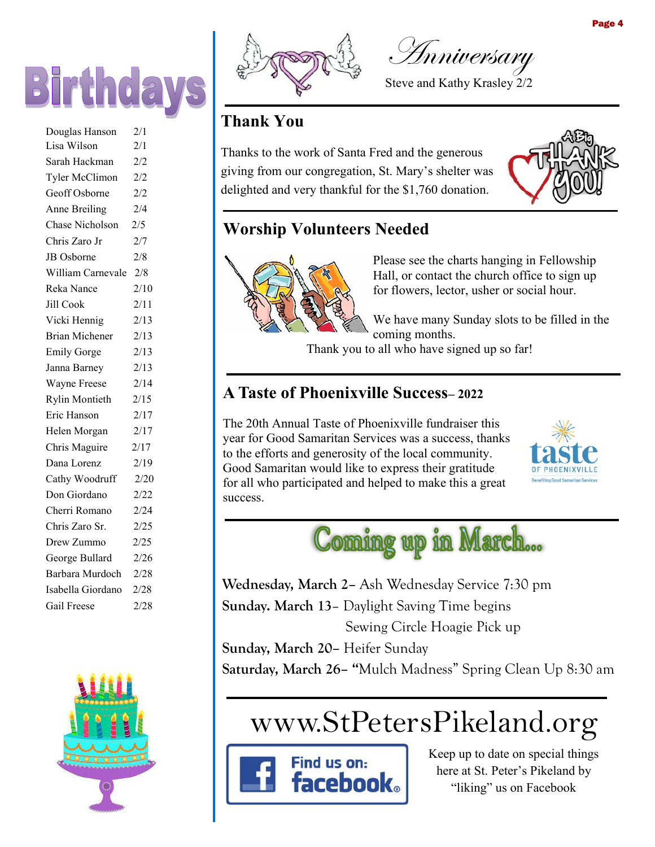

| Douglas Hanson         | 2/1  |
|------------------------|------|
| Lisa Wilson            | 2/1  |
| Sarah Hackman          | 2/2  |
| Tyler McClimon         | 2/2  |
| Geoff Osborne          | 2/2  |
| Anne Breiling          | 2/4  |
| <b>Chase Nicholson</b> | 2/5  |
| Chris Zaro Jr          | 2/7  |
| JB Osborne             | 2/8  |
| William Carnevale      | 2/8  |
| Reka Nance             | 2/10 |
| <b>Jill Cook</b>       | 2/11 |
| Vicki Hennig           | 2/13 |
| <b>Brian Michener</b>  | 2/13 |
| <b>Emily Gorge</b>     | 2/13 |
| Janna Barney           | 2/13 |
| Wayne Freese           | 2/14 |
| <b>Rylin Montieth</b>  | 2/15 |
| Eric Hanson            | 2/17 |
| Helen Morgan           | 2/17 |
| Chris Maguire          | 2/17 |
| Dana Lorenz            | 2/19 |
| Cathy Woodruff         | 2/20 |
| Don Giordano           | 2/22 |
| Cherri Romano          | 2/24 |
| Chris Zaro Sr.         | 2/25 |
| Drew Zummo             | 2/25 |
| George Bullard         | 2/26 |
| Barbara Murdoch        | 2/28 |
| Isabella Giordano      | 2/28 |
| Gail Freese            | 2/28 |
|                        |      |





Anniversary

Steve and Kathy Krasley 2/2

### **Thank You**

Thanks to the work of Santa Fred and the generous giving from our congregation, St. Mary's shelter was delighted and very thankful for the \$1,760 donation.



### **Worship Volunteers Needed**



Please see the charts hanging in Fellowship Hall, or contact the church office to sign up for flowers, lector, usher or social hour.

We have many Sunday slots to be filled in the coming months.

Thank you to all who have signed up so far!

### **A Taste of Phoenixville Success– 2022**

The 20th Annual Taste of Phoenixville fundraiser this year for Good Samaritan Services was a success, thanks to the efforts and generosity of the local community. Good Samaritan would like to express their gratitude for all who participated and helped to make this a great success.





**Wednesday, March 2–** Ash Wednesday Service 7:30 pm **Sunday. March 13**– Daylight Saving Time begins Sewing Circle Hoagie Pick up

**Sunday, March 20–** Heifer Sunday

**Saturday, March 26– "**Mulch Madness" Spring Clean Up 8:30 am

# www.StPetersPikeland.org



Keep up to date on special things here at St. Peter's Pikeland by "liking" us on Facebook